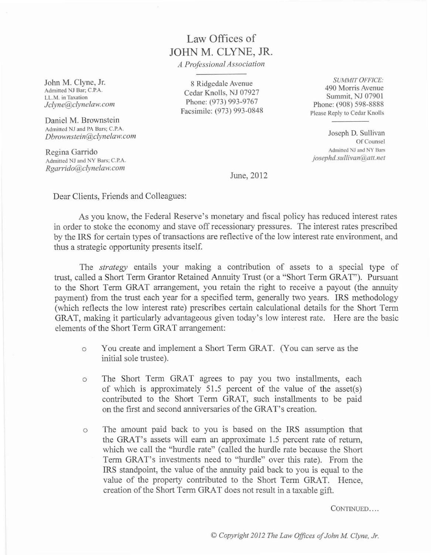## Law Offices of **JOHN** M. CLYNE, JR.

*A Professional Associatian*

John M. Clyne, Jr. **Admitted NJ Bar: C.P.A. LL.M. in Taxation**  $Jclyne@clynelaw.com$ 

Daniel M. Brownstein **Admitted NJ and PA Bars; C.P.A.** *Dbrownslein@clynelaw.com*

Regina Garrido **Admitted NJ and Y Bars; C.P.A.**  $Rgarrido@clvnelaw.com$ 

8Ridgedale Avenue Cedar Knolls, NJ 07927 Phone: (973) 993-9767 Facsimile: (973) 993-0848

*SUMMIT OFFICE:* 490 Morris Avenue Summit, NJ 07901 Phone: (908) 598-8888 **Please Reply to Cedar Knolls**

Joseph D. Sullivan Of Counsel **Admitted NJ and Y Bars** *josephd.sullivon@att.nel*

June, 2012

Dear Clients, Friends and Colleagues:

As you know, the Federal Reserve's monetary and fiscal policy has reduced interest rates in order to stoke the economy and stave off recessionary pressures. The interest rates prescribed by the IRS for certain types of transactions are reflective of the low interest rate environment, and thus a strategic opportunity presents itself.

The *strategy* entails your making a contribution of assets to a special type of trust, called a Short Term Grantor Retained Annuity Trust (or a "Short Term GRAT"). Pursuant to the Short Term GRAT arrangement, you retain the right to receive a payout (the annuity payment) from the trust each year for a specified term, generally two years. IRS methodology (which reflects the low interest rate) prescribes certain calculational details for the Short Term GRAT, making it particularly advantageous given today's low interest rate. Here are the basic elements of the Short Term GRAT arrangement:

- o You create and implement a Short Term GRAT. (You can serve as the initial sole trustee).
- o The Short Term GRAT agrees to pay you two installments, each of which is approximately 51.5 percent of the value of the asset(s) contributed to the Short Term GRAT, such installments to be paid on the first and second anniversaries ofthe GRAT's creation.
- o The amount paid back to you is based on the IRS assumption that the GRAT's assets will earn an approximate 1.5 percent rate of return, which we call the "hurdle rate" (called the hurdle rate because the Short Term GRAT's investments need to "hurdle" over this rate). From the IRS standpoint, the value of the annuity paid back to you is equal to the value of the property contributed to the Short Term GRAT. Hence, creation of the Short Term GRAT does not result in a taxable gift.

CONTINUED....